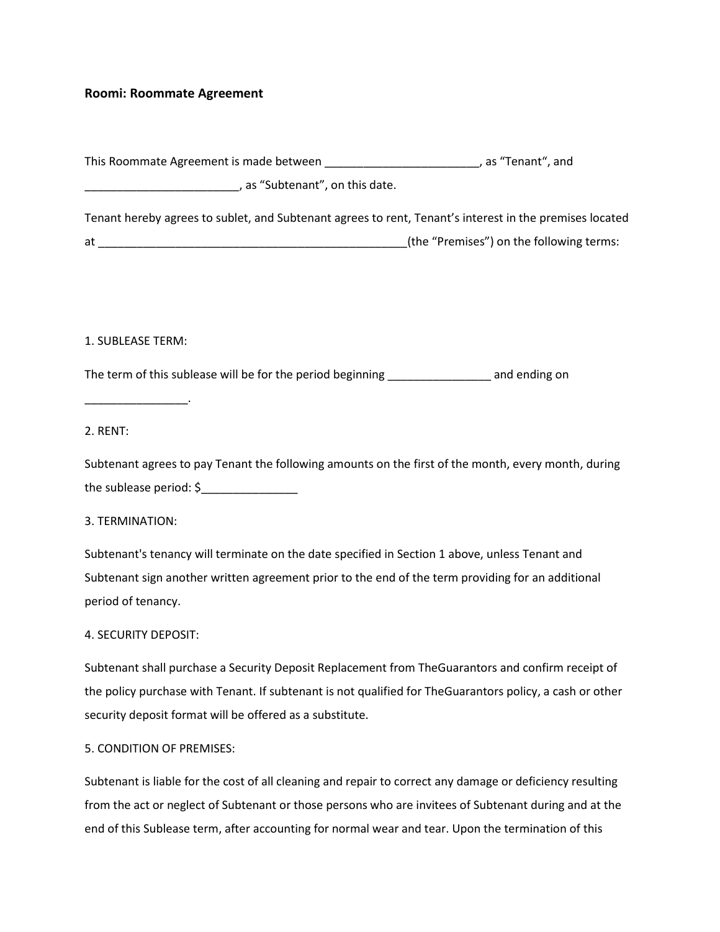# **Roomi: Roommate Agreement**

| This Roommate Agreement is made between                                                                 | . as "Tenant", and                       |
|---------------------------------------------------------------------------------------------------------|------------------------------------------|
| , as "Subtenant", on this date.                                                                         |                                          |
| Tenant hereby agrees to sublet, and Subtenant agrees to rent, Tenant's interest in the premises located |                                          |
| at                                                                                                      | (the "Premises") on the following terms: |

#### 1. SUBLEASE TERM:

\_\_\_\_\_\_\_\_\_\_\_\_\_\_\_\_.

The term of this sublease will be for the period beginning \_\_\_\_\_\_\_\_\_\_\_\_\_\_\_\_\_\_\_\_\_ and ending on

2. RENT:

Subtenant agrees to pay Tenant the following amounts on the first of the month, every month, during the sublease period: \$\_\_\_\_\_\_\_\_\_\_\_\_\_\_\_

3. TERMINATION:

Subtenant's tenancy will terminate on the date specified in Section 1 above, unless Tenant and Subtenant sign another written agreement prior to the end of the term providing for an additional period of tenancy.

## 4. SECURITY DEPOSIT:

Subtenant shall purchase a Security Deposit Replacement from TheGuarantors and confirm receipt of the policy purchase with Tenant. If subtenant is not qualified for TheGuarantors policy, a cash or other security deposit format will be offered as a substitute.

## 5. CONDITION OF PREMISES:

Subtenant is liable for the cost of all cleaning and repair to correct any damage or deficiency resulting from the act or neglect of Subtenant or those persons who are invitees of Subtenant during and at the end of this Sublease term, after accounting for normal wear and tear. Upon the termination of this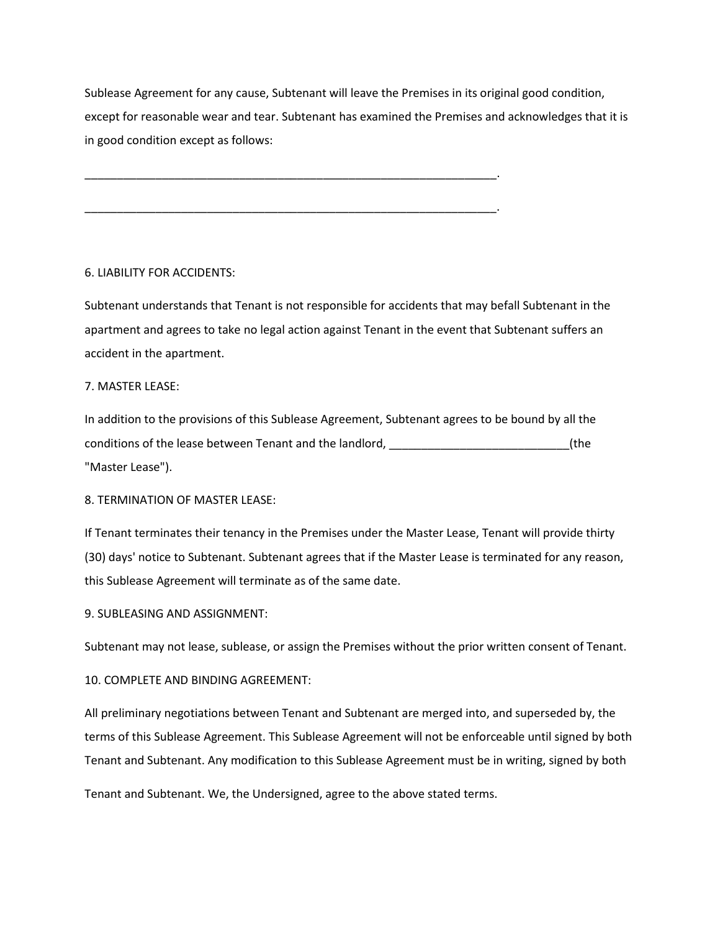Sublease Agreement for any cause, Subtenant will leave the Premises in its original good condition, except for reasonable wear and tear. Subtenant has examined the Premises and acknowledges that it is in good condition except as follows:

\_\_\_\_\_\_\_\_\_\_\_\_\_\_\_\_\_\_\_\_\_\_\_\_\_\_\_\_\_\_\_\_\_\_\_\_\_\_\_\_\_\_\_\_\_\_\_\_\_\_\_\_\_\_\_\_\_\_\_\_\_\_\_\_.

\_\_\_\_\_\_\_\_\_\_\_\_\_\_\_\_\_\_\_\_\_\_\_\_\_\_\_\_\_\_\_\_\_\_\_\_\_\_\_\_\_\_\_\_\_\_\_\_\_\_\_\_\_\_\_\_\_\_\_\_\_\_\_\_.

6. LIABILITY FOR ACCIDENTS:

Subtenant understands that Tenant is not responsible for accidents that may befall Subtenant in the apartment and agrees to take no legal action against Tenant in the event that Subtenant suffers an accident in the apartment.

#### 7. MASTER LEASE:

In addition to the provisions of this Sublease Agreement, Subtenant agrees to be bound by all the conditions of the lease between Tenant and the landlord, \_\_\_\_\_\_\_\_\_\_\_\_\_\_\_\_\_\_\_\_\_\_\_\_\_\_\_\_(the "Master Lease").

8. TERMINATION OF MASTER LEASE:

If Tenant terminates their tenancy in the Premises under the Master Lease, Tenant will provide thirty (30) days' notice to Subtenant. Subtenant agrees that if the Master Lease is terminated for any reason, this Sublease Agreement will terminate as of the same date.

9. SUBLEASING AND ASSIGNMENT:

Subtenant may not lease, sublease, or assign the Premises without the prior written consent of Tenant.

10. COMPLETE AND BINDING AGREEMENT:

All preliminary negotiations between Tenant and Subtenant are merged into, and superseded by, the terms of this Sublease Agreement. This Sublease Agreement will not be enforceable until signed by both Tenant and Subtenant. Any modification to this Sublease Agreement must be in writing, signed by both

Tenant and Subtenant. We, the Undersigned, agree to the above stated terms.